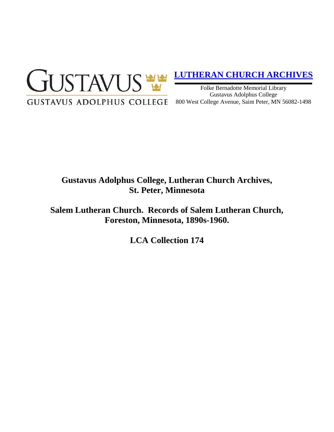

# **[LUTHERAN CHURCH ARCHIVES](http://gustavus.edu/academics/library/archives/)**

Folke Bernadotte Memorial Library Gustavus Adolphus College 800 West College Avenue, Saint Peter, MN 56082-1498

## **Gustavus Adolphus College, Lutheran Church Archives, St. Peter, Minnesota**

**Salem Lutheran Church. Records of Salem Lutheran Church, Foreston, Minnesota, 1890s-1960.**

**LCA Collection 174**